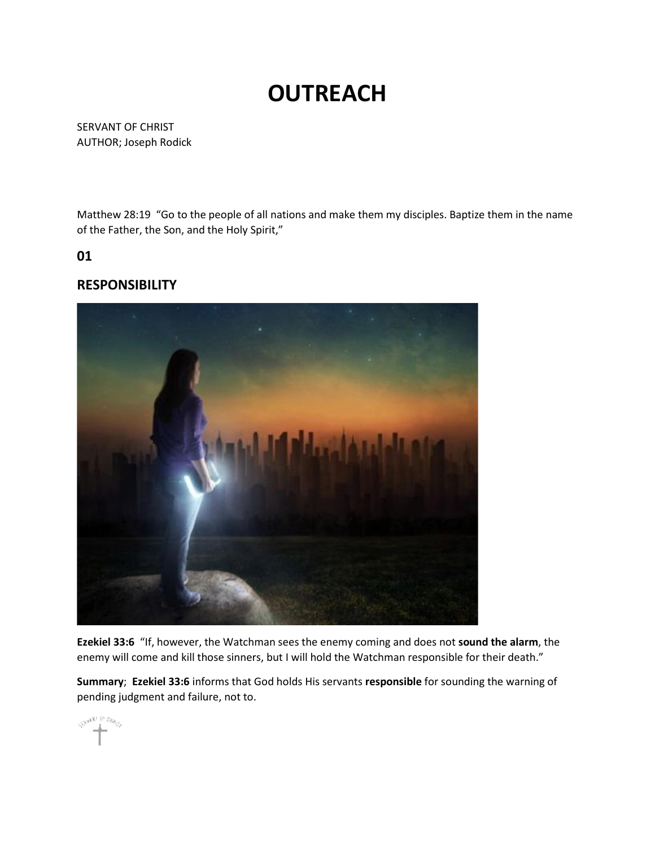## **OUTREACH**

SERVANT OF CHRIST AUTHOR; Joseph Rodick

Matthew 28:19 "Go to the people of all nations and make them my disciples. Baptize them in the name of the Father, the Son, and the Holy Spirit,"

**01**

## **RESPONSIBILITY**



**Ezekiel 33:6** "If, however, the Watchman sees the enemy coming and does not **sound the alarm**, the enemy will come and kill those sinners, but I will hold the Watchman responsible for their death."

**Summary**; **Ezekiel 33:6** informs that God holds His servants **responsible** for sounding the warning of pending judgment and failure, not to.

SHANT DI Cheng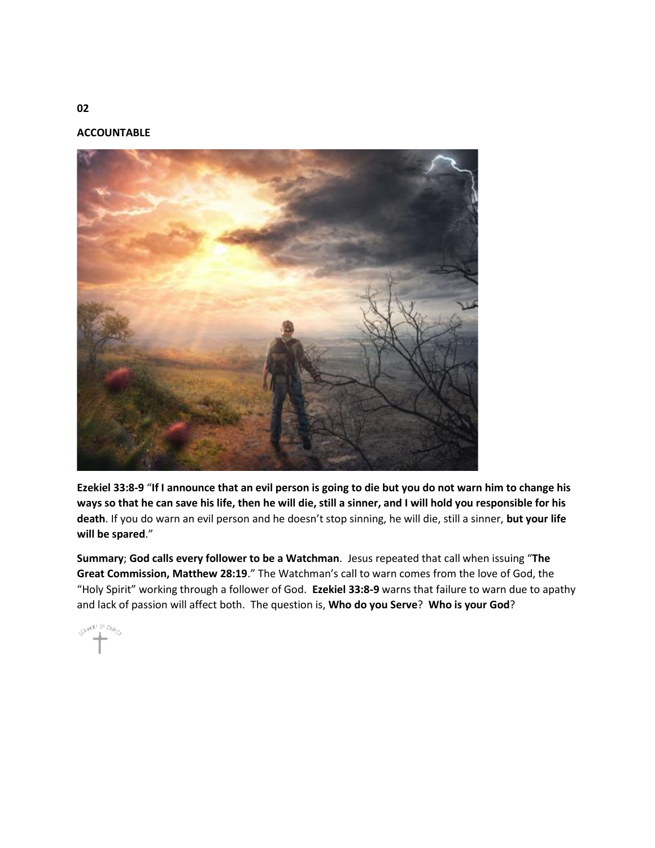**ACCOUNTABLE**



**Ezekiel 33:8-9** "**If I announce that an evil person is going to die but you do not warn him to change his ways so that he can save his life, then he will die, still a sinner, and I will hold you responsible for his death**. If you do warn an evil person and he doesn't stop sinning, he will die, still a sinner, **but your life will be spared**."

**Summary**; **God calls every follower to be a Watchman**. Jesus repeated that call when issuing "**The Great Commission, Matthew 28:19**." The Watchman's call to warn comes from the love of God, the "Holy Spirit" working through a follower of God. **Ezekiel 33:8-9** warns that failure to warn due to apathy and lack of passion will affect both. The question is, **Who do you Serve**? **Who is your God**?

**CHANNELL** ENGLO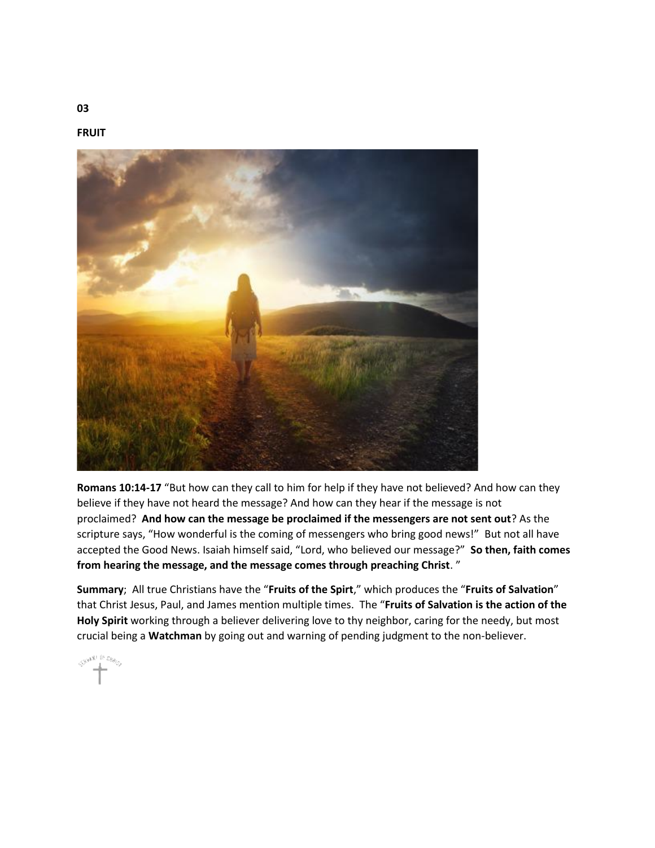**FRUIT**



**Romans 10:14-17** "But how can they call to him for help if they have not believed? And how can they believe if they have not heard the message? And how can they hear if the message is not proclaimed? **And how can the message be proclaimed if the messengers are not sent out**? As the scripture says, "How wonderful is the coming of messengers who bring good news!" But not all have accepted the Good News. Isaiah himself said, "Lord, who believed our message?" **So then, faith comes from hearing the message, and the message comes through preaching Christ**. "

**Summary**; All true Christians have the "**Fruits of the Spirt**," which produces the "**Fruits of Salvation**" that Christ Jesus, Paul, and James mention multiple times. The "**Fruits of Salvation is the action of the Holy Spirit** working through a believer delivering love to thy neighbor, caring for the needy, but most crucial being a **Watchman** by going out and warning of pending judgment to the non-believer.

SHAM! It they

**03**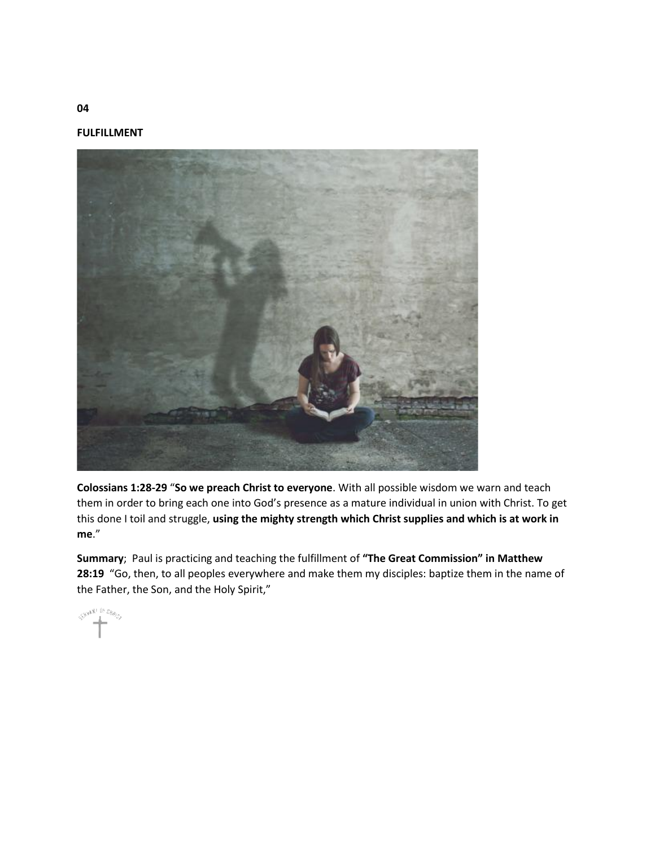**FULFILLMENT**



**Colossians 1:28-29** "**So we preach Christ to everyone**. With all possible wisdom we warn and teach them in order to bring each one into God's presence as a mature individual in union with Christ. To get this done I toil and struggle, **using the mighty strength which Christ supplies and which is at work in me**."

**Summary**; Paul is practicing and teaching the fulfillment of **"The Great Commission" in Matthew 28:19** "Go, then, to all peoples everywhere and make them my disciples: baptize them in the name of the Father, the Son, and the Holy Spirit,"

 $\mathcal{S}^{\mathcal{Y}^{(k)}} \overset{\text{(k)}}{=} \overset{\text{(k)}}{=} \mathcal{U}_{\mathcal{Y}_{\mathcal{G}_{k}}}$ 

**04**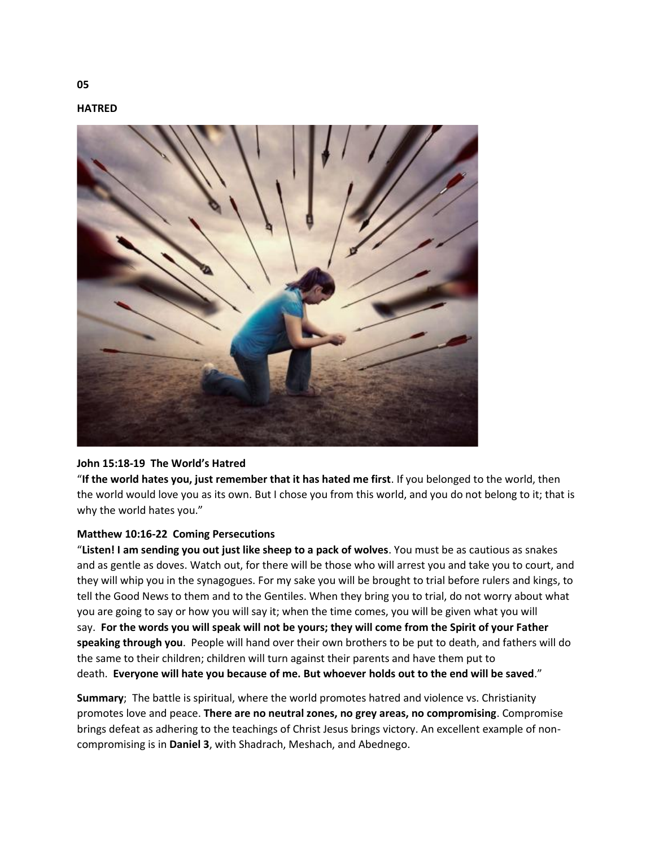



## **John 15:18-19 The World's Hatred**

"**If the world hates you, just remember that it has hated me first**. If you belonged to the world, then the world would love you as its own. But I chose you from this world, and you do not belong to it; that is why the world hates you."

## **Matthew 10:16-22 Coming Persecutions**

"**Listen! I am sending you out just like sheep to a pack of wolves**. You must be as cautious as snakes and as gentle as doves. Watch out, for there will be those who will arrest you and take you to court, and they will whip you in the synagogues. For my sake you will be brought to trial before rulers and kings, to tell the Good News to them and to the Gentiles. When they bring you to trial, do not worry about what you are going to say or how you will say it; when the time comes, you will be given what you will say. **For the words you will speak will not be yours; they will come from the Spirit of your Father speaking through you**. People will hand over their own brothers to be put to death, and fathers will do the same to their children; children will turn against their parents and have them put to death. **Everyone will hate you because of me. But whoever holds out to the end will be saved**."

**Summary**; The battle is spiritual, where the world promotes hatred and violence vs. Christianity promotes love and peace. **There are no neutral zones, no grey areas, no compromising**. Compromise brings defeat as adhering to the teachings of Christ Jesus brings victory. An excellent example of noncompromising is in **Daniel 3**, with Shadrach, Meshach, and Abednego.